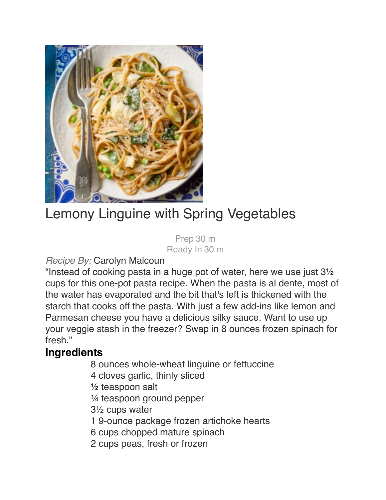

## Lemony Linguine with Spring Vegetables

 Prep 30 m Ready In 30 m

#### *Recipe By:* Carolyn Malcoun

"Instead of cooking pasta in a huge pot of water, here we use just 3½ cups for this one-pot pasta recipe. When the pasta is al dente, most of the water has evaporated and the bit that's left is thickened with the starch that cooks off the pasta. With just a few add-ins like lemon and Parmesan cheese you have a delicious silky sauce. Want to use up your veggie stash in the freezer? Swap in 8 ounces frozen spinach for fresh."

#### **Ingredients**

- 8 ounces whole-wheat linguine or fettuccine
- 4 cloves garlic, thinly sliced
- $\frac{1}{2}$  teaspoon salt
- $\frac{1}{4}$  teaspoon ground pepper
- $3\frac{1}{2}$  cups water
- 1 9-ounce package frozen artichoke hearts
- 6 cups chopped mature spinach
- 2 cups peas, fresh or frozen